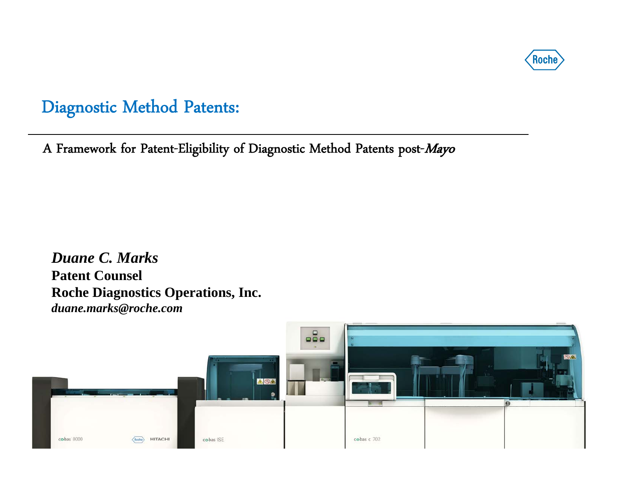

A Framework for Patent-Eligibility of Diagnostic Method Patents post-Mayo

*Duane C. Marks*  **Patent Counsel Roche Diagnostics Operations, Inc.** *duane.marks@roche.com* 

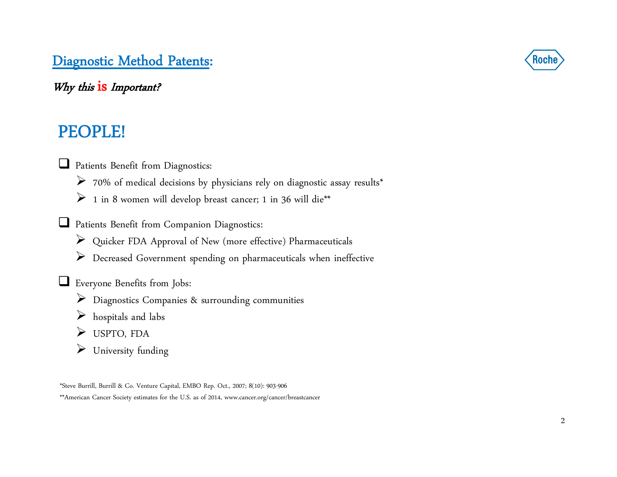Why this  $is$  Important?

# PEOPLE!

**Q** Patients Benefit from Diagnostics:

- 70% of medical decisions by physicians rely on diagnostic assay results\*
- $\triangleright$  1 in 8 women will develop breast cancer; 1 in 36 will die\*\*
- Patients Benefit from Companion Diagnostics:
	- Quicker FDA Approval of New (more effective) Pharmaceuticals
	- Decreased Government spending on pharmaceuticals when ineffective

Everyone Benefits from Jobs:

- Diagnostics Companies & surrounding communities
- hospitals and labs
- USPTO, FDA
- University funding

\*Steve Burrill, Burrill & Co. Venture Capital, EMBO Rep. Oct., 2007; 8(10): 903-906 \*\*American Cancer Society estimates for the U.S. as of 2014, www.cancer.org/cancer/breastcancer

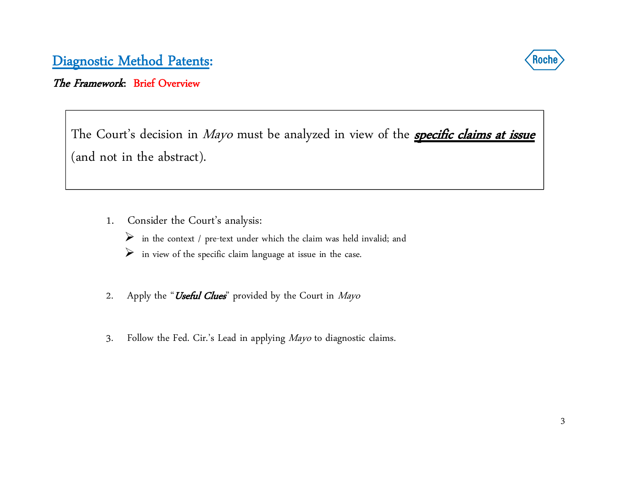

#### The Framework: Brief Overview

The Court's decision in *Mayo* must be analyzed in view of the <u>**specific claims at issue**</u> (and not in the abstract).

- 1. Consider the Court's analysis:
	- $\triangleright$  in the context / pre-text under which the claim was held invalid; and
	- $\triangleright$  in view of the specific claim language at issue in the case.
- 2. Apply the "Useful Clues" provided by the Court in Mayo
- 3. Follow the Fed. Cir.'s Lead in applying Mayo to diagnostic claims.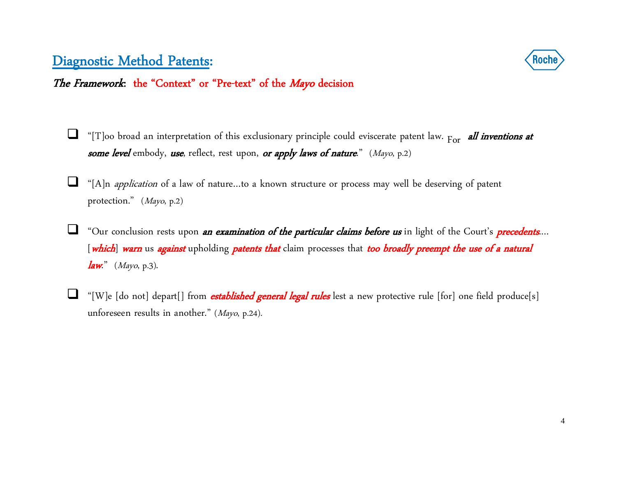

The Framework: the "Context" or "Pre-text" of the Mayo decision

- $\Box$  $\Box$  "[T]oo broad an interpretation of this exclusionary principle could eviscerate patent law.  $_{\rm For}$  all inventions at *some level* embody, *use*, reflect, rest upon, *or apply laws of nature.*" (Mayo, p.2)
- ⊔ "[A]n application of a law of nature…to a known structure or process may well be deserving of patent protection." (Mayo, p.2)
- $\Box$ "Our conclusion rests upon *an examination of the particular claims before us* in light of the Court's *precedents*... [which] warn us against upholding patents that claim processes that too broadly preempt the use of a natural  $law."$  (Mayo, p.3).
- ⊔ "[W]e [do not] depart[] from *established general legal rules* lest a new protective rule [for] one field produce[s] unforeseen results in another." (Mayo, p.24).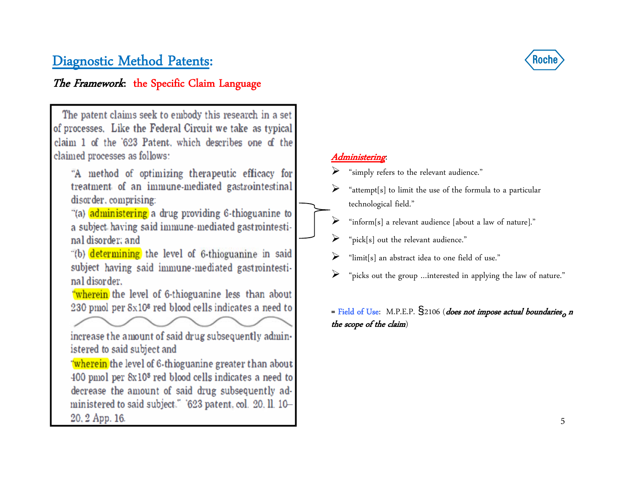#### The Framework: the Specific Claim Language

The patent claims seek to embody this research in a set of processes. Like the Federal Circuit we take as typical claim 1 of the '623 Patent, which describes one of the claimed processes as follows:

"A method of optimizing therapeutic efficacy for treatment of an immune-mediated gastrointestinal disorder, comprising:

"(a) administering a drug providing 6-thioguanine to a subject having said immune-mediated gastrointestinal disorder: and

"(b) determining the level of 6-thioguanine in said subject having said immune-mediated gastrointestinal disorder.

"wherein the level of 6-thioguanine less than about 230 pmol per 8x10<sup>8</sup> red blood cells indicates a need to

increase the amount of said drug subsequently administered to said subject and

"wherein the level of 6-thioguanine greater than about 400 pmol per 8x10<sup>8</sup> red blood cells indicates a need to decrease the amount of said drug subsequently administered to said subject." '623 patent, col. 20, ll. 10-20, 2 App. 16.



#### Administering:

- "simply refers to the relevant audience."
- ➤ "attempt[s] to limit the use of the formula to a particular technological field."
- ➤ "inform[s] a relevant audience [about a law of nature]."
- ➤ "pick[s] out the relevant audience."
- $\blacktriangleright$ "limit[s] an abstract idea to one field of use."
- ➤ "picks out the group …interested in applying the law of nature."

= Field of Use: M.P.E.P.  $\S$ 2106 (does not impose actual boundaries, n the scope of the claim)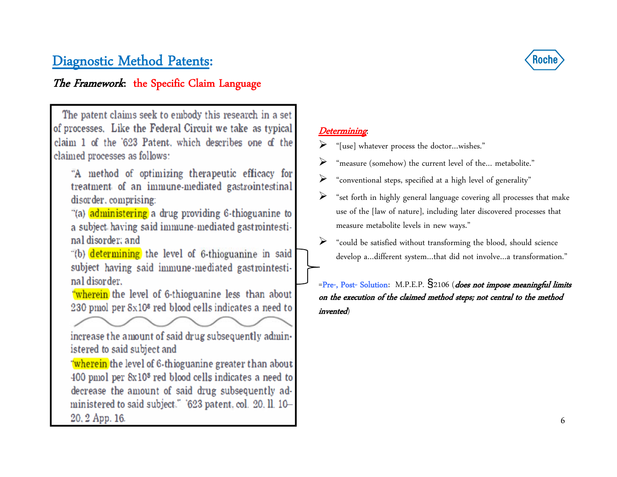#### The Framework: the Specific Claim Language



The patent claims seek to embody this research in a set of processes. Like the Federal Circuit we take as typical claim 1 of the '623 Patent, which describes one of the claimed processes as follows:

"A method of optimizing therapeutic efficacy for treatment of an immune-mediated gastrointestinal disorder, comprising:

"(a) administering a drug providing 6-thioguanine to a subject having said immune-mediated gastrointestinal disorder: and

"(b) determining the level of 6-thioguanine in said subject having said immune-mediated gastrointestinal disorder.

"wherein the level of 6-thioguanine less than about 230 pmol per 8x10<sup>8</sup> red blood cells indicates a need to

increase the amount of said drug subsequently administered to said subject and

"wherein the level of 6-thioguanine greater than about 400 pmol per 8x10<sup>8</sup> red blood cells indicates a need to decrease the amount of said drug subsequently administered to said subject." '623 patent, col. 20, ll. 10-20, 2 App. 16.

#### Determining:

- $\blacktriangleright$ "[use] whatever process the doctor…wishes."
- ➤ "measure (somehow) the current level of the… metabolite."
- ➤ "conventional steps, specified at a high level of generality"
- ➤ "set forth in highly general language covering all processes that make use of the [law of nature], including later discovered processes that measure metabolite levels in new ways."
- ➤ "could be satisfied without transforming the blood, should science develop a…different system…that did not involve…a transformation."

=Pre-, Post- Solution: M.P.E.P. §2106 (does not impose meaningful limits on the execution of the claimed method steps; not central to the method invented)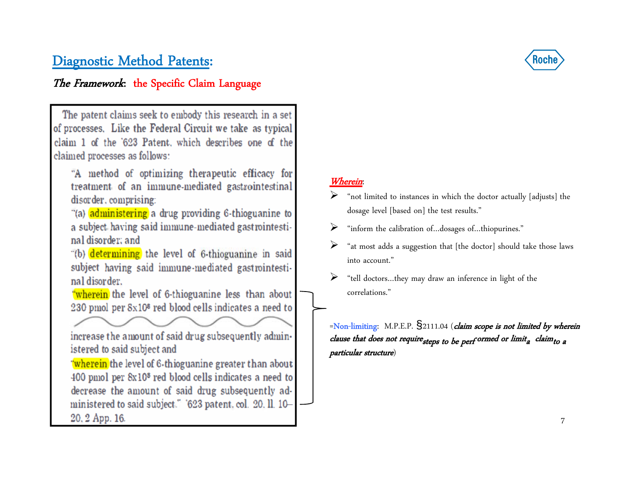#### The Framework: the Specific Claim Language

The patent claims seek to embody this research in a set of processes. Like the Federal Circuit we take as typical claim 1 of the '623 Patent, which describes one of the claimed processes as follows: "A method of optimizing therapeutic efficacy for treatment of an immune-mediated gastrointestinal disorder, comprising: "(a) administering a drug providing 6-thioguanine to a subject having said immune-mediated gastrointestinal disorder: and "(b) determining the level of 6-thioguanine in said subject having said immune-mediated gastrointestinal disorder. "wherein the level of 6-thioguanine less than about 230 pmol per 8x10<sup>8</sup> red blood cells indicates a need to increase the amount of said drug subsequently administered to said subject and "wherein the level of 6-thioguanine greater than about 400 pmol per 8x10<sup>8</sup> red blood cells indicates a need to decrease the amount of said drug subsequently administered to said subject." '623 patent, col. 20, ll. 10-20, 2 App. 16.



#### Wherein:

- $\blacktriangleright$  "not limited to instances in which the doctor actually [adjusts] the dosage level [based on] the test results."
- ➤ "inform the calibration of…dosages of…thiopurines."
- $\blacktriangleright$  "at most adds a suggestion that [the doctor] should take those laws into account."
- $\blacktriangleright$  "tell doctors…they may draw an inference in light of the correlations."

 $=$ Non-limiting: M.P.E.P.  $\frac{1}{2}$ 2111.04 (*claim scope is not limited by wherein* clause that does not require  $_{steps}$  to be perf ormed or limit<sub>a</sub> claim<sub>to a</sub> particular structure)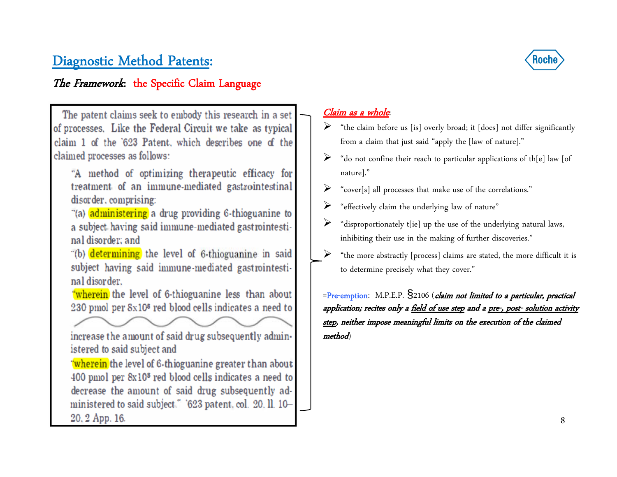#### The Framework: the Specific Claim Language



The patent claims seek to embody this research in a set of processes. Like the Federal Circuit we take as typical claim 1 of the '623 Patent, which describes one of the claimed processes as follows:

"A method of optimizing therapeutic efficacy for treatment of an immune-mediated gastrointestinal disorder, comprising:

"(a) administering a drug providing 6-thioguanine to a subject having said immune-mediated gastrointestinal disorder: and

"(b) determining the level of 6-thioguanine in said subject having said immune-mediated gastrointestinal disorder.

"wherein the level of 6-thioguanine less than about 230 pmol per 8x10<sup>8</sup> red blood cells indicates a need to

increase the amount of said drug subsequently administered to said subject and

"wherein the level of 6-thioguanine greater than about 400 pmol per 8x10<sup>8</sup> red blood cells indicates a need to decrease the amount of said drug subsequently administered to said subject." '623 patent, col. 20, ll. 10-20, 2 App. 16.

#### Claim as a whole:

- $\triangleright$  "the claim before us [is] overly broad; it [does] not differ significantly from a claim that just said "apply the [law of nature]."
- ➤ "do not confine their reach to particular applications of th[e] law [of nature]."
- ➤ "cover[s] all processes that make use of the correlations."
- $\blacktriangleright$ "effectively claim the underlying law of nature"
- ➤ "disproportionately t[ie] up the use of the underlying natural laws, inhibiting their use in the making of further discoveries."
- $\blacktriangleright$  "the more abstractly [process] claims are stated, the more difficult it is to determine precisely what they cover."

=Pre-emption: M.P.E.P. §2106 (claim not limited to a particular, practical application; recites only a field of use step and a pre-, post- solution activity step, neither impose meaningful limits on the execution of the claimed method)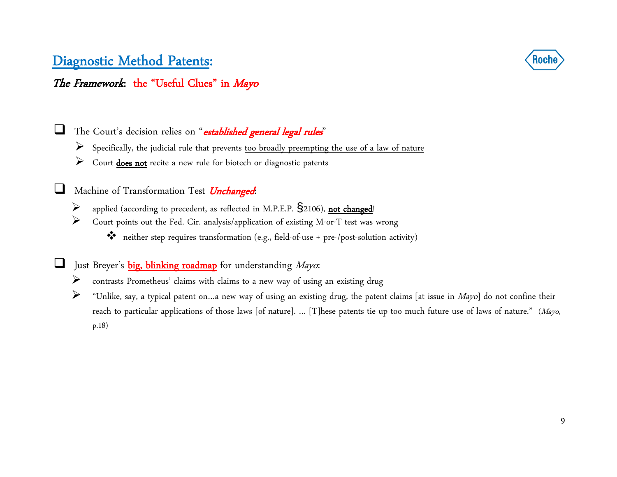

#### The Framework: the "Useful Clues" in Mayo

⊔ The Court's decision relies on "established general legal rules"

- Specifically, the judicial rule that prevents too broadly preempting the use of a law of nature
- Court **does not** recite a new rule for biotech or diagnostic patents

u Machine of Transformation Test *Unchanged*:

- ➤ applied (according to precedent, as reflected in M.P.E.P.  $\S$ 2106), not changed!
- $\blacktriangleright$  Court points out the Fed. Cir. analysis/application of existing M-or-T test was wrong
	- neither step requires transformation (e.g., field-of-use + pre-/post-solution activity)

 $\sqcup$ Just Breyer's **big, blinking roadmap** for understanding Mayo:

- ➤ contrasts Prometheus' claims with claims to a new way of using an existing drug
- ➤ "Unlike, say, a typical patent on…a new way of using an existing drug, the patent claims [at issue in Mayo] do not confine their reach to particular applications of those laws [of nature]. ... [T]hese patents tie up too much future use of laws of nature." (Mayo, p.18)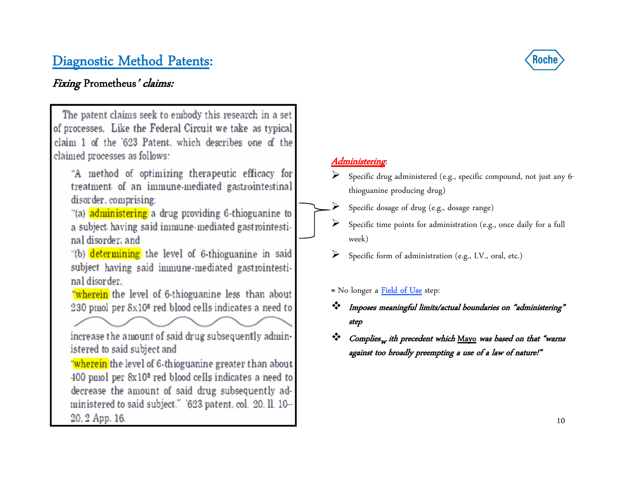#### Fixing Prometheus' claims:



- "A method of optimizing therapeutic efficacy for treatment of an immune-mediated gastrointestinal disorder, comprising:
- "(a) administering a drug providing 6-thioguanine to a subject having said immune-mediated gastrointestinal disorder: and
- "(b) determining the level of 6-thioguanine in said subject having said immune-mediated gastrointestinal disorder.
- "wherein the level of 6-thioguanine less than about 230 pmol per 8x10<sup>8</sup> red blood cells indicates a need to

increase the amount of said drug subsequently administered to said subject and

"wherein the level of 6-thioguanine greater than about 400 pmol per 8x10<sup>8</sup> red blood cells indicates a need to decrease the amount of said drug subsequently administered to said subject." '623 patent, col. 20, ll. 10-20, 2 App. 16.



#### Administering:

- $\blacktriangleright$  Specific drug administered (e.g., specific compound, not just any 6 thioguanine producing drug)
- $\blacktriangleright$ Specific dosage of drug (e.g., dosage range)
- $\blacktriangleright$  Specific time points for administration (e.g., once daily for a full week)
- $\blacktriangleright$ Specific form of administration (e.g., I.V., oral, etc.)
- = No longer a Field of Use step:
- Imposes meaningful limits/actual boundaries on "administering" step
- ❖  $\mathbf{\hat{v}}$  *Complies<sub>w</sub> ith precedent which* <u>Mayo</u> was based on that "warns against too broadly preempting a use of a law of nature!"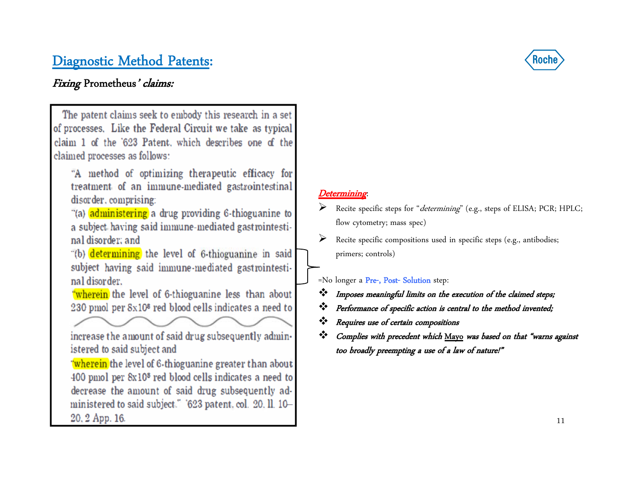#### Fixing Prometheus' claims:



# Roch

#### Determining:

- Recite specific steps for "determining" (e.g., steps of ELISA; PCR; HPLC; flow cytometry; mass spec)
- Recite specific compositions used in specific steps (e.g., antibodies; primers; controls)

=No longer a Pre-, Post- Solution step:

- Imposes meaningful limits on the execution of the claimed steps;
- Performance of specific action is central to the method invented;
- Requires use of certain compositions
- $\frac{1}{2}$  Complies with precedent which Mayo was based on that "warns against too broadly preempting a use of a law of nature!"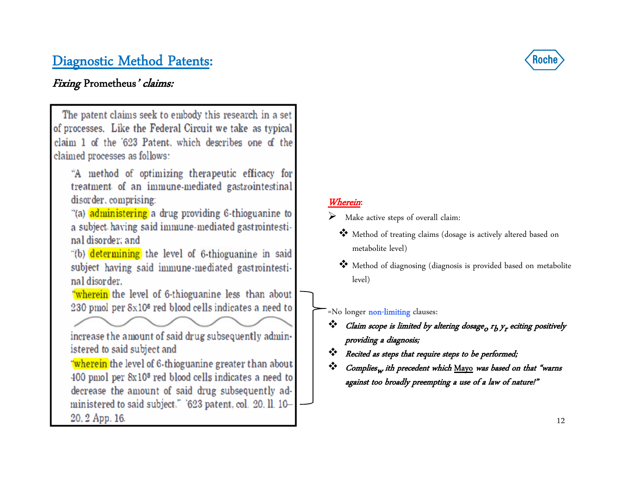#### Fixing Prometheus' claims:

The patent claims seek to embody this research in a set of processes. Like the Federal Circuit we take as typical claim 1 of the '623 Patent, which describes one of the claimed processes as follows: "A method of optimizing therapeutic efficacy for treatment of an immune-mediated gastrointestinal disorder, comprising: "(a) administering a drug providing 6-thioguanine to a subject having said immune-mediated gastrointestinal disorder: and "(b) determining the level of 6-thioguanine in said subject having said immune-mediated gastrointestinal disorder. "wherein the level of 6-thioguanine less than about 230 pmol per 8x10<sup>8</sup> red blood cells indicates a need to increase the amount of said drug subsequently administered to said subject and "wherein the level of 6-thioguanine greater than about 400 pmol per 8x10<sup>8</sup> red blood cells indicates a need to decrease the amount of said drug subsequently administered to said subject." '623 patent, col. 20, ll. 10-20, 2 App. 16.



#### Wherein:

- Make active steps of overall claim:
	- Method of treating claims (dosage is actively altered based on metabolite level)
	- Method of diagnosing (diagnosis is provided based on metabolite level)

=No longer non-limiting clauses:

- $\mathbf{\hat{C}}$  Claim scope is limited by altering dosage<sub>o</sub>  $r_b$   $y_r$  eciting positively providing a diagnosis;
- ❖ Recited as steps that require steps to be performed;
- ❖  $\mathbf{\hat{v}}$  *Complies<sub>w</sub> ith precedent which* <u>Mayo</u> was based on that "warns against too broadly preempting a use of a law of nature!"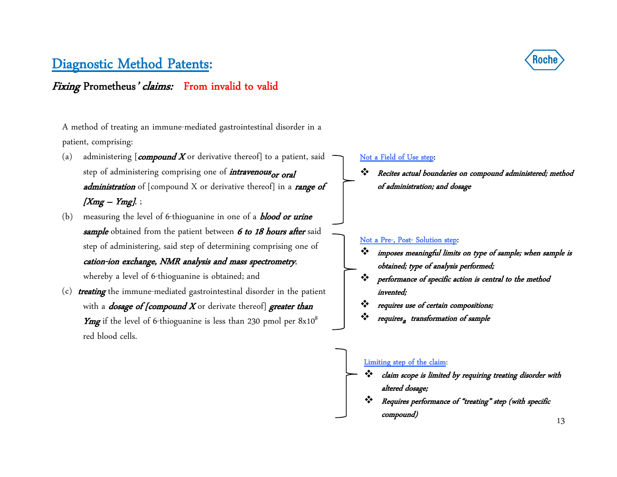#### Fixing Prometheus' claims: From invalid to valid

A method of treating an immune-mediated gastrointestinal disorder in a patient, comprising:

- (a) administering  $[compound X or derivative thereof]$  to a patient, said step of administering comprising one of *intravenous* or oral *administration* of [compound X or derivative thereof] in a *range of*  $[Xmg - Ymg],$
- (b) measuring the level of 6-thioguanine in one of a **blood or urine** sample obtained from the patient between 6 to 18 hours after said step of administering, said step of determining comprising one of cation-ion exchange, NMR analysis and mass spectrometry, whereby a level of 6-thioguanine is obtained; and
- (c) treating the immune-mediated gastrointestinal disorder in the patient with a *dosage of [compound X* or derivate thereof] *greater than* **Ymg** if the level of 6-thioguanine is less than 230 pmol per  $8x10<sup>8</sup>$ red blood cells.



#### Not a Field of Use step:

❖ Recites actual boundaries on compound administered; method of administration; and dosage

#### Not a Pre-, Post- Solution step:

- ❖ imposes meaningful limits on type of sample; when sample is obtained; type of analysis performed;
- ❖ performance of specific action is central to the method invented;
- ❖ requires use of certain compositions;
- ❖  $\bm{\dot{w}}$  requires<sub>a</sub> transformation of sample

#### Limiting step of the claim:

- ❖ claim scope is limited by requiring treating disorder with altered dosage;
- ❖ Requires performance of "treating" step (with specific compound)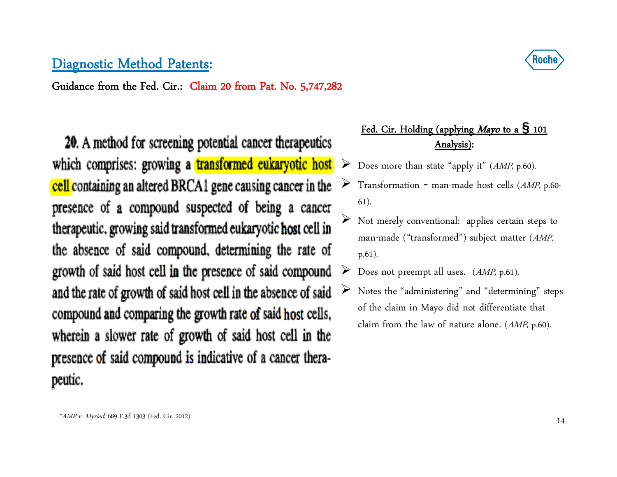Guidance from the Fed. Cir.: Claim 20 from Pat. No. 5,747,282

20. A method for screening potential cancer therapeutics which comprises: growing a transformed eukaryotic host  $\triangleright$ cell containing an altered BRCA1 gene causing cancer in the presence of a compound suspected of being a cancer therapeutic, growing said transformed eukaryotic host cell in the absence of said compound, determining the rate of growth of said host cell in the presence of said compound and the rate of growth of said host cell in the absence of said compound and comparing the growth rate of said host cells, wherein a slower rate of growth of said host cell in the presence of said compound is indicative of a cancer therapeutic.

#### Fed. Cir. Holding (applying Mayo to a **§** <sup>101</sup> Analysis):

- Does more than state "apply it" (AMP, p.60).
- ➤ Transformation = man-made host cells (AMP, p.60- 61).
- $\blacktriangleright$  Not merely conventional: applies certain steps to man-made ("transformed") subject matter (AMP, p.61).
- ➤ Does not preempt all uses. (AMP, p.61).
- ➤ Notes the "administering" and "determining" steps of the claim in Mayo did not differentiate that claim from the law of nature alone. (AMP, p.60).

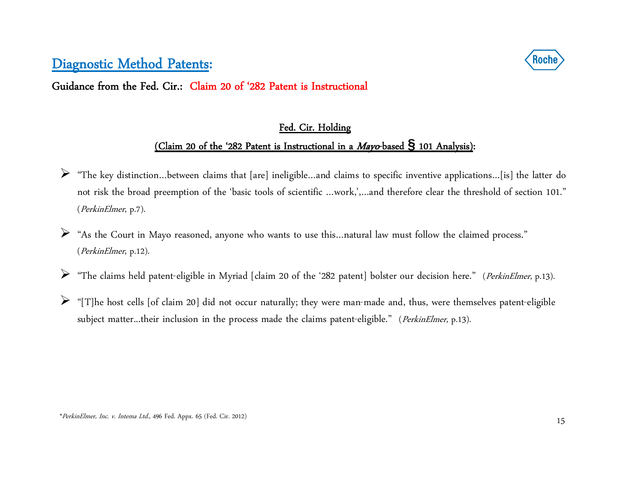Guidance from the Fed. Cir.: Claim 20 of '282 Patent is Instructional

## Fed. Cir. Holding (Claim 20 of the '282 Patent is Instructional in a Mayo-based **§** 101 Analysis):

- "The key distinction…between claims that [are] ineligible…and claims to specific inventive applications…[is] the latter do not risk the broad preemption of the 'basic tools of scientific …work,',…and therefore clear the threshold of section 101." (PerkinElmer, p.7).
- ➤ "As the Court in Mayo reasoned, anyone who wants to use this…natural law must follow the claimed process." (PerkinElmer, p.12).
- ➤ "The claims held patent-eligible in Myriad [claim 20 of the '282 patent] bolster our decision here." (PerkinElmer, p.13).
- $\triangleright$  "[T]he host cells [of claim 20] did not occur naturally; they were man-made and, thus, were themselves patent-eligible subject matter...their inclusion in the process made the claims patent-eligible." (PerkinElmer, p.13).

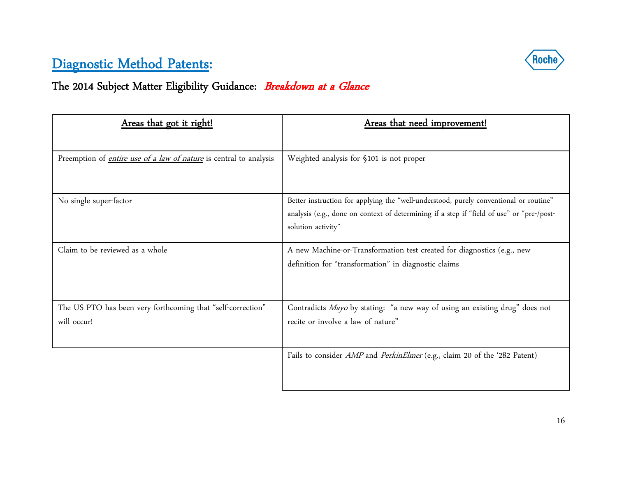

# The 2014 Subject Matter Eligibility Guidance: Breakdown at a Glance

| Areas that got it right!                                                  | Areas that need improvement!                                                              |
|---------------------------------------------------------------------------|-------------------------------------------------------------------------------------------|
|                                                                           |                                                                                           |
| Preemption of <i>entire use of a law of nature</i> is central to analysis | Weighted analysis for §101 is not proper                                                  |
|                                                                           |                                                                                           |
| No single super-factor                                                    | Better instruction for applying the "well-understood, purely conventional or routine"     |
|                                                                           | analysis (e.g., done on context of determining if a step if "field of use" or "pre-/post- |
|                                                                           | solution activity"                                                                        |
| Claim to be reviewed as a whole                                           | A new Machine-or-Transformation test created for diagnostics (e.g., new                   |
|                                                                           | definition for "transformation" in diagnostic claims                                      |
|                                                                           |                                                                                           |
|                                                                           |                                                                                           |
| The US PTO has been very forthcoming that "self-correction"               | Contradicts Mayo by stating: "a new way of using an existing drug" does not               |
| will occur!                                                               | recite or involve a law of nature"                                                        |
|                                                                           |                                                                                           |
|                                                                           | Fails to consider <i>AMP</i> and <i>PerkinElmer</i> (e.g., claim 20 of the '282 Patent)   |
|                                                                           |                                                                                           |
|                                                                           |                                                                                           |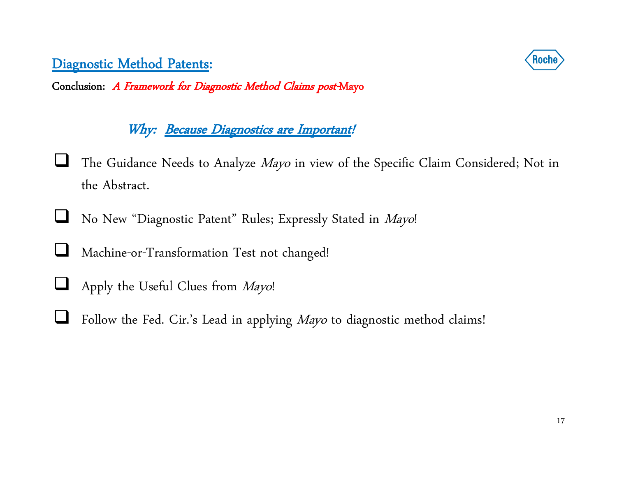Conclusion: A Framework for Diagnostic Method Claims post-Mayo

## Why: Because Diagnostics are Important!

- $\Box$ The Guidance Needs to Analyze Mayo in view of the Specific Claim Considered; Not in the Abstract.
- $\Box$ No New "Diagnostic Patent" Rules; Expressly Stated in Mayo!
- $\Box$ Machine-or-Transformation Test not changed!
- $\sqcup$ Apply the Useful Clues from Mayo!
- $\Box$ Follow the Fed. Cir.'s Lead in applying Mayo to diagnostic method claims!

17

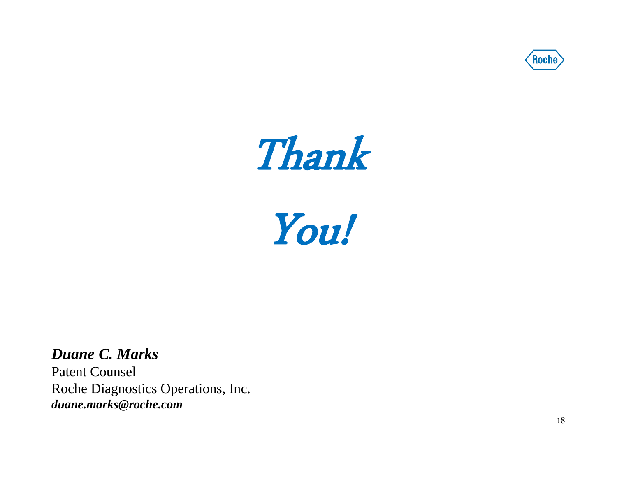



You!

*Duane C. Marks*  Patent Counsel Roche Diagnostics Operations, Inc. *duane.marks@roche.com*